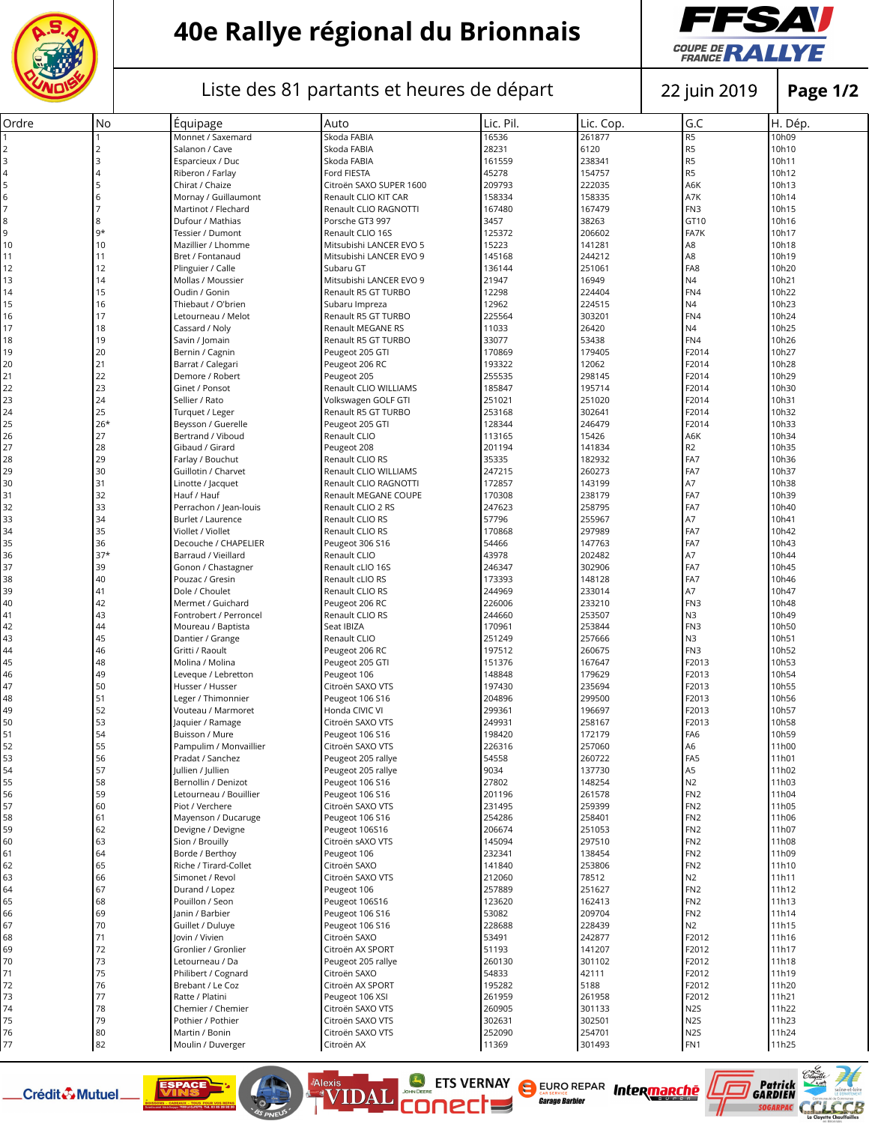

## **40e Rallye régional du Brionnais**



## Liste des 81 partants et heures de départ | 22 juin 2019

**Page 1/2**

| Ordre    | No             | Équipage                             | Auto                           | Lic. Pil.        | Lic. Cop.        | G.C                                  | H. Dép.        |
|----------|----------------|--------------------------------------|--------------------------------|------------------|------------------|--------------------------------------|----------------|
|          |                | Monnet / Saxemard                    | Skoda FABIA                    | 16536            | 261877           | R <sub>5</sub>                       | 10h09          |
|          | $\overline{2}$ | Salanon / Cave                       | Skoda FABIA                    | 28231            | 6120             | R <sub>5</sub>                       | 10h10          |
| 3        | 3              | Esparcieux / Duc                     | Skoda FABIA                    | 161559           | 238341           | R <sub>5</sub>                       | 10h11          |
| 4        | $\overline{4}$ | Riberon / Farlay                     | Ford FIESTA                    | 45278            | 154757           | R <sub>5</sub>                       | 10h12          |
|          | 5              | Chirat / Chaize                      | Citroën SAXO SUPER 1600        | 209793           | 222035           | A6K                                  | 10h13          |
| 6        | 6              | Mornay / Guillaumont                 | Renault CLIO KIT CAR           | 158334           | 158335           | A7K                                  | 10h14          |
|          | $\overline{7}$ | Martinot / Flechard                  | Renault CLIO RAGNOTTI          | 167480           | 167479           | FN3                                  | 10h15          |
| 8        | 8              | Dufour / Mathias                     | Porsche GT3 997                | 3457             | 38263            | GT10                                 | 10h16          |
| 9        | $9*$           | Tessier / Dumont                     | Renault CLIO 16S               | 125372           | 206602           | FA7K                                 | 10h17          |
| 10       | 10             | Mazillier / Lhomme                   | Mitsubishi LANCER EVO 5        | 15223            | 141281           | A8                                   | 10h18          |
| 11       | 11             | Bret / Fontanaud                     | Mitsubishi LANCER EVO 9        | 145168           | 244212           | A <sub>8</sub>                       | 10h19          |
| 12       | 12             | Plinguier / Calle                    | Subaru GT                      | 136144           | 251061           | FA8                                  | 10h20          |
| 13       | 14             | Mollas / Moussier                    | Mitsubishi LANCER EVO 9        | 21947            | 16949            | N4                                   | 10h21          |
| 14       | 15             | Oudin / Gonin                        | Renault R5 GT TURBO            | 12298            | 224404           | FN4                                  | 10h22          |
| 15       | 16             | Thiebaut / O'brien                   | Subaru Impreza                 | 12962            | 224515           | N4                                   | 10h23          |
| 16       | 17             | Letourneau / Melot                   | Renault R5 GT TURBO            | 225564           | 303201           | FN4                                  | 10h24          |
| 17       | 18             | Cassard / Noly                       | Renault MEGANE RS              | 11033            | 26420            | N4                                   | 10h25          |
| 18       | 19             | Savin / Jomain                       | Renault R5 GT TURBO            | 33077            | 53438            | FN4                                  | 10h26          |
| 19       | 20             | Bernin / Cagnin                      | Peugeot 205 GTI                | 170869           | 179405           | F2014                                | 10h27          |
| 20       | 21             | Barrat / Calegari                    | Peugeot 206 RC                 | 193322           | 12062            | F2014                                | 10h28          |
| 21       | 22             | Demore / Robert                      | Peugeot 205                    | 255535           | 298145           | F2014                                | 10h29          |
| 22       | 23             | Ginet / Ponsot                       | Renault CLIO WILLIAMS          | 185847           | 195714           | F2014                                | 10h30          |
| 23       | 24             | Sellier / Rato                       | Volkswagen GOLF GTI            | 251021           | 251020           | F2014                                | 10h31          |
| 24       | 25             | Turquet / Leger                      | Renault R5 GT TURBO            | 253168           | 302641           | F2014                                | 10h32          |
| 25       | $26*$          | Beysson / Guerelle                   | Peugeot 205 GTI                | 128344           | 246479           | F2014                                | 10h33          |
| 26       | 27             | Bertrand / Viboud                    | Renault CLIO                   | 113165           | 15426            | A6K                                  | 10h34          |
| 27       | 28             | Gibaud / Girard                      | Peugeot 208                    | 201194           | 141834           | R <sub>2</sub>                       | 10h35          |
| 28       | 29             | Farlay / Bouchut                     | Renault CLIO RS                | 35335            | 182932           | FA7                                  | 10h36          |
| 29       | 30             | Guillotin / Charvet                  | Renault CLIO WILLIAMS          | 247215           | 260273           | FA7                                  | 10h37          |
| 30       | 31             | Linotte / Jacquet                    | Renault CLIO RAGNOTTI          | 172857           | 143199           | A7                                   | 10h38          |
| 31       | 32             | Hauf / Hauf                          | Renault MEGANE COUPE           | 170308           | 238179           | FA7                                  | 10h39          |
| 32       | 33             | Perrachon / Jean-louis               | Renault CLIO 2 RS              | 247623           | 258795           | FA7                                  | 10h40          |
| 33       | 34             | Burlet / Laurence                    | Renault CLIO RS                | 57796            | 255967           | A7                                   | 10h41          |
| 34       | 35             | Viollet / Viollet                    | Renault CLIO RS                | 170868           | 297989           | FA7                                  | 10h42          |
| 35       | 36             | Decouche / CHAPELIER                 | Peugeot 306 S16                | 54466            | 147763           | FA7                                  | 10h43          |
| 36       | $37*$          | Barraud / Vieillard                  | Renault CLIO                   | 43978            | 202482           | A7                                   | 10h44          |
| 37       | 39             | Gonon / Chastagner                   | Renault cLIO 16S               | 246347           | 302906           | FA7                                  | 10h45          |
| 38       | 40             | Pouzac / Gresin                      | Renault cLIO RS                | 173393           | 148128           | FA7                                  | 10h46          |
| 39       | 41             | Dole / Choulet                       | Renault CLIO RS                | 244969           | 233014           | A7                                   | 10h47          |
| 40       | 42             | Mermet / Guichard                    | Peugeot 206 RC                 | 226006           | 233210           | FN3                                  | 10h48          |
| 41       | 43             | Fontrobert / Perroncel               | Renault CLIO RS                | 244660           | 253507           | N <sub>3</sub>                       | 10h49          |
| 42       | 44             | Moureau / Baptista                   | Seat IBIZA                     | 170961           | 253844           | FN3                                  | 10h50          |
| 43       | 45             | Dantier / Grange                     | Renault CLIO                   | 251249           | 257666           | N3                                   | 10h51          |
| 44       | 46             | Gritti / Raoult                      | Peugeot 206 RC                 | 197512           | 260675           | FN3                                  | 10h52          |
| 45       | 48             | Molina / Molina                      | Peugeot 205 GTI                | 151376           | 167647           | F2013                                | 10h53          |
| 46       | 49             | Leveque / Lebretton                  | Peugeot 106                    | 148848           | 179629           | F2013                                | 10h54          |
| 47       | 50             | Husser / Husser                      | Citroën SAXO VTS               | 197430           | 235694           | F2013                                | 10h55          |
| 48       | 51             | Leger / Thimonnier                   | Peugeot 106 S16                | 204896           | 299500           | F2013                                | 10h56          |
| 49       | 52             | Vouteau / Marmoret                   | Honda CIVIC VI                 | 299361           | 196697           | F2013                                | 10h57          |
| 50       | 53             | laquier / Ramage                     | Citroën SAXO VTS               | 249931           | 258167           | F2013                                | 10h58          |
| 51       | 54             | Buisson / Mure                       | Peugeot 106 S16                | 198420           | 172179           | FA <sub>6</sub>                      | 10h59          |
| 52       | 55             | Pampulim / Monvaillier               | Citroën SAXO VTS               | 226316           | 257060           | A <sub>6</sub>                       | 11h00          |
| 53       | 56             | Pradat / Sanchez                     | Peugeot 205 rallye             | 54558            | 260722           | FA <sub>5</sub>                      | 11h01          |
| 54       | 57             | Jullien / Jullien                    | Peugeot 205 rallye             | 9034             | 137730           | A <sub>5</sub>                       | 11h02          |
| 55       | 58             | Bernollin / Denizot                  | Peugeot 106 S16                | 27802            | 148254           | N2                                   | 11h03          |
| 56       | 59             | Letourneau / Bouillier               | Peugeot 106 S16                | 201196           | 261578           | FN <sub>2</sub>                      | 11h04          |
| 57       | 60             | Piot / Verchere                      | Citroën SAXO VTS               | 231495           | 259399           | FN <sub>2</sub>                      | 11h05          |
| 58       | 61             | Mayenson / Ducaruge                  | Peugeot 106 S16                | 254286           | 258401           | FN <sub>2</sub>                      | 11h06          |
| 59       | 62             | Devigne / Devigne                    | Peugeot 106S16                 | 206674           | 251053           | FN <sub>2</sub>                      | 11h07          |
| 60       | 63             | Sion / Brouilly                      | Citroën sAXO VTS               | 145094           | 297510           | FN <sub>2</sub>                      | 11h08          |
| 61       | 64             | Borde / Berthoy                      | Peugeot 106                    | 232341           | 138454           | FN <sub>2</sub>                      | 11h09          |
| 62       | 65             | Riche / Tirard-Collet                | Citroën SAXO                   | 141840           | 253806           | FN <sub>2</sub>                      | 11h10          |
| 63       | 66             | Simonet / Revol                      | Citroën SAXO VTS               | 212060           | 78512            | N2                                   | 11h11          |
| 64       | 67             | Durand / Lopez                       | Peugeot 106                    | 257889           | 251627           | FN <sub>2</sub>                      | 11h12          |
| 65       | 68             | Pouillon / Seon                      | Peugeot 106S16                 | 123620           | 162413           | FN <sub>2</sub>                      | 11h13          |
| 66       | 69             | Janin / Barbier                      | Peugeot 106 S16                | 53082            | 209704           | FN <sub>2</sub>                      | 11h14          |
| 67       | 70             | Guillet / Duluye                     | Peugeot 106 S16                | 228688           | 228439           | N <sub>2</sub>                       | 11h15          |
| 68       | 71             | Jovin / Vivien                       | Citroën SAXO                   | 53491            | 242877           | F2012                                | 11h16          |
| 69       | 72             | Gronlier / Gronlier                  | Citroën AX SPORT               | 51193            | 141207           | F2012                                | 11h17          |
| 70       | 73             | Letourneau / Da                      | Peugeot 205 rallye             | 260130           | 301102           | F2012                                | 11h18          |
| 71       | 75             | Philibert / Cognard                  | Citroën SAXO                   | 54833            | 42111            | F2012                                | 11h19          |
| 72       | 76             | Brebant / Le Coz                     | Citroën AX SPORT               | 195282           | 5188             | F2012                                | 11h20          |
|          | 77             |                                      |                                |                  |                  | F2012                                |                |
| 73<br>74 | 78             | Ratte / Platini<br>Chemier / Chemier | Peugeot 106 XSI                | 261959           | 261958           |                                      | 11h21          |
|          | 79             | Pothier / Pothier                    | Citroën SAXO VTS               | 260905           | 301133           | N <sub>2</sub> S                     | 11h22<br>11h23 |
| 75       | 80             |                                      | Citroën SAXO VTS               | 302631<br>252090 | 302501<br>254701 | N <sub>2</sub> S<br>N <sub>2</sub> S | 11h24          |
| 76<br>77 | 82             | Martin / Bonin<br>Moulin / Duverger  | Citroën SAXO VTS<br>Citroën AX | 11369            | 301493           | FN1                                  | 11h25          |
|          |                |                                      |                                |                  |                  |                                      |                |

**EXAMPLE ETS VERNAY** 

EURO REPAR Intermanché

**Garage Barbiel** 

Patrick<br>GARDIEN

Alexis

Crédit & Mutuel.

**ESPACE**